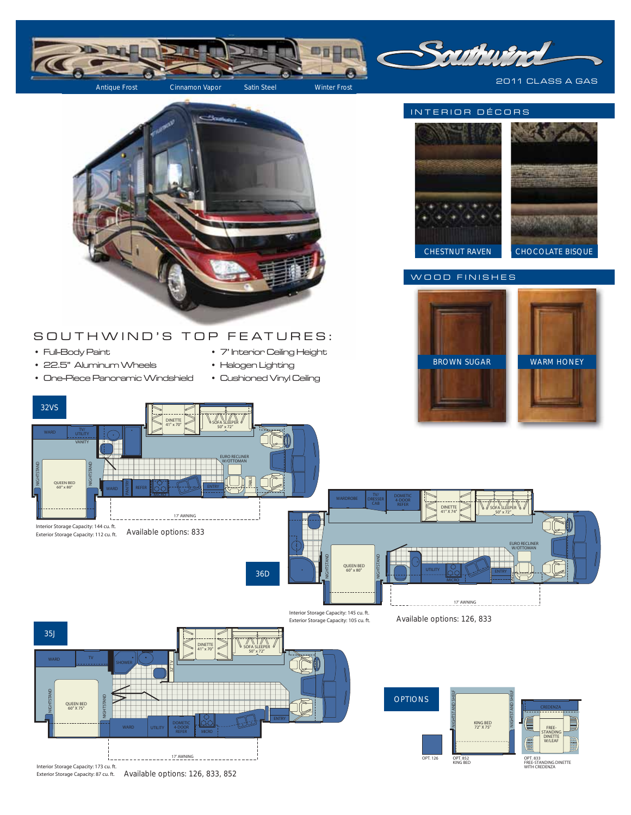

Exterior Storage Capacity: 87 cu. ft. Available options: 126, 833, 852